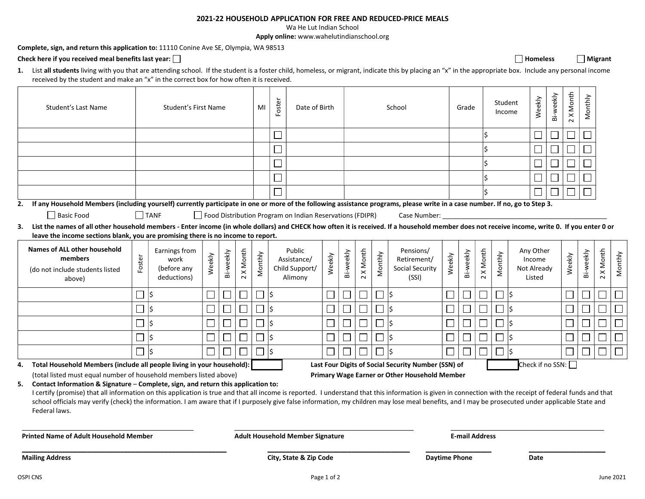## 2021-22 HOUSEHOLD APPLICATION FOR FREE AND REDUCED-PRICE MEALS

Wa He Lut Indian School

Apply online: www.wahelutindianschool.org

Complete, sign, and return this application to: 11110 Conine Ave SE, Olympia, WA 98513

## Check here if you received meal benefits last year:  $\Box$

1. List all students living with you that are attending school. If the student is a foster child, homeless, or migrant, indicate this by placing an "x" in the appropriate box. Include any personal income received by the student and make an "x" in the correct box for how often it is received.

|    | Student's Last Name                                                                                                                                                                                                                                                                                                                                                                                                                                                                                                    |        | Student's First Name                                |        |           |           | MI      | Foster   | Date of Birth                                            |             |           |           |         | School                                                                                               |        | Grade                    |           | Student<br>Income |     | Weekly                                       | Bi-weekly | X Month<br>$\sim$ | Monthly   |           |           |  |
|----|------------------------------------------------------------------------------------------------------------------------------------------------------------------------------------------------------------------------------------------------------------------------------------------------------------------------------------------------------------------------------------------------------------------------------------------------------------------------------------------------------------------------|--------|-----------------------------------------------------|--------|-----------|-----------|---------|----------|----------------------------------------------------------|-------------|-----------|-----------|---------|------------------------------------------------------------------------------------------------------|--------|--------------------------|-----------|-------------------|-----|----------------------------------------------|-----------|-------------------|-----------|-----------|-----------|--|
|    |                                                                                                                                                                                                                                                                                                                                                                                                                                                                                                                        |        |                                                     |        |           |           |         |          |                                                          |             |           |           |         |                                                                                                      |        |                          |           |                   |     |                                              | $\Box$    | $\Box$            |           |           |           |  |
|    |                                                                                                                                                                                                                                                                                                                                                                                                                                                                                                                        |        |                                                     |        |           |           |         |          |                                                          |             |           |           |         |                                                                                                      |        |                          |           |                   |     |                                              | $\Box$    | $\Box$            |           |           |           |  |
|    |                                                                                                                                                                                                                                                                                                                                                                                                                                                                                                                        |        |                                                     |        |           |           |         |          |                                                          |             |           |           |         |                                                                                                      |        |                          |           |                   |     |                                              |           | $\Box$            |           |           |           |  |
|    |                                                                                                                                                                                                                                                                                                                                                                                                                                                                                                                        |        |                                                     |        |           |           |         |          |                                                          |             |           |           |         |                                                                                                      |        |                          |           |                   |     |                                              | $\Box$    | $\Box$            |           |           |           |  |
|    |                                                                                                                                                                                                                                                                                                                                                                                                                                                                                                                        |        |                                                     |        |           |           |         |          |                                                          |             |           |           |         |                                                                                                      |        |                          |           |                   |     | $\Box$                                       | $\Box$    | $\Box$            |           |           |           |  |
| 2. | If any Household Members (including yourself) currently participate in one or more of the following assistance programs, please write in a case number. If no, go to Step 3.                                                                                                                                                                                                                                                                                                                                           |        |                                                     |        |           |           |         |          |                                                          |             |           |           |         |                                                                                                      |        |                          |           |                   |     |                                              |           |                   |           |           |           |  |
|    | Basic Food                                                                                                                                                                                                                                                                                                                                                                                                                                                                                                             |        | TANF                                                |        |           |           |         |          | Food Distribution Program on Indian Reservations (FDIPR) |             |           |           |         | Case Number:                                                                                         |        |                          |           |                   |     |                                              |           |                   |           |           |           |  |
| 3. | List the names of all other household members - Enter income (in whole dollars) and CHECK how often it is received. If a household member does not receive income, write 0. If you enter 0 or<br>leave the income sections blank, you are promising there is no income to report.                                                                                                                                                                                                                                      |        |                                                     |        |           |           |         |          |                                                          |             |           |           |         |                                                                                                      |        |                          |           |                   |     |                                              |           |                   |           |           |           |  |
|    | <b>Names of ALL other household</b><br>members<br>(do not include students listed<br>above)                                                                                                                                                                                                                                                                                                                                                                                                                            | Foster | Earnings from<br>work<br>(before any<br>deductions) | Weekly | Bi-weekly | 2 X Month | Monthly |          | Public<br>Assistance/<br>Child Support/<br>Alimony       | Weekly      | Bi-weekly | 2 X Month | Monthly | Pensions/<br>Retirement/<br><b>Social Security</b><br>(SSI)                                          | Weekly | Bi-weekly                | 2 X Month | Monthly           |     | Any Other<br>Income<br>Not Already<br>Listed |           | Weekly            | Bi-weekly | 2 X Month | Monthly   |  |
|    |                                                                                                                                                                                                                                                                                                                                                                                                                                                                                                                        |        |                                                     |        |           |           |         |          |                                                          |             |           |           |         |                                                                                                      |        |                          |           |                   |     |                                              |           |                   |           |           |           |  |
|    |                                                                                                                                                                                                                                                                                                                                                                                                                                                                                                                        | $\Box$ | l\$                                                 |        |           |           |         | ∣\$      |                                                          |             |           |           |         | l\$                                                                                                  | $\Box$ |                          |           |                   | lŚ  |                                              |           |                   |           |           |           |  |
|    |                                                                                                                                                                                                                                                                                                                                                                                                                                                                                                                        | $\Box$ | l\$                                                 |        |           |           |         | l\$      |                                                          |             |           |           |         | l\$                                                                                                  | $\Box$ |                          |           |                   | ls. |                                              |           |                   |           |           |           |  |
|    |                                                                                                                                                                                                                                                                                                                                                                                                                                                                                                                        | $\Box$ | l\$                                                 |        |           |           |         | l\$      |                                                          |             |           |           |         | l\$                                                                                                  | $\Box$ | $\overline{\mathcal{L}}$ |           |                   | l\$ |                                              |           |                   |           |           |           |  |
|    |                                                                                                                                                                                                                                                                                                                                                                                                                                                                                                                        | $\Box$ | I\$                                                 |        |           |           | $\Box$  | <b>S</b> |                                                          |             |           |           |         | S.                                                                                                   | $\Box$ | $\Box$                   |           |                   | l\$ |                                              |           |                   |           |           |           |  |
|    |                                                                                                                                                                                                                                                                                                                                                                                                                                                                                                                        | $\Box$ | I\$                                                 |        |           |           | $\Box$  | I\$      |                                                          |             |           |           |         | l\$                                                                                                  | $\Box$ |                          |           | П                 | l\$ |                                              |           |                   |           |           |           |  |
| 4. | Total Household Members (include all people living in your household):<br>(total listed must equal number of household members listed above)                                                                                                                                                                                                                                                                                                                                                                           |        |                                                     |        |           |           |         |          |                                                          |             |           |           |         | Last Four Digits of Social Security Number (SSN) of<br>Primary Wage Earner or Other Household Member |        |                          |           |                   |     | Check if no SSN:                             |           |                   |           |           |           |  |
| 5. | Contact Information & Signature - Complete, sign, and return this application to:<br>I certify (promise) that all information on this application is true and that all income is reported. I understand that this information is given in connection with the receipt of federal funds and that<br>school officials may verify (check) the information. I am aware that if I purposely give false information, my children may lose meal benefits, and I may be prosecuted under applicable State and<br>Federal laws. |        |                                                     |        |           |           |         |          |                                                          |             |           |           |         |                                                                                                      |        |                          |           |                   |     |                                              |           |                   |           |           |           |  |
|    | <b>Printed Name of Adult Household Member</b>                                                                                                                                                                                                                                                                                                                                                                                                                                                                          |        |                                                     |        |           |           |         |          | <b>Adult Household Member Signature</b>                  |             |           |           |         |                                                                                                      |        | <b>E-mail Address</b>    |           |                   |     |                                              |           |                   |           |           |           |  |
|    | <b>Mailing Address</b>                                                                                                                                                                                                                                                                                                                                                                                                                                                                                                 |        |                                                     |        |           |           |         |          | City, State & Zip Code                                   |             |           |           |         | <b>Daytime Phone</b>                                                                                 |        |                          |           |                   |     | <b>Date</b>                                  |           |                   |           |           |           |  |
|    | <b>OSPI CNS</b>                                                                                                                                                                                                                                                                                                                                                                                                                                                                                                        |        |                                                     |        |           |           |         |          |                                                          | Page 1 of 2 |           |           |         |                                                                                                      |        |                          |           |                   |     |                                              |           |                   |           |           | June 2021 |  |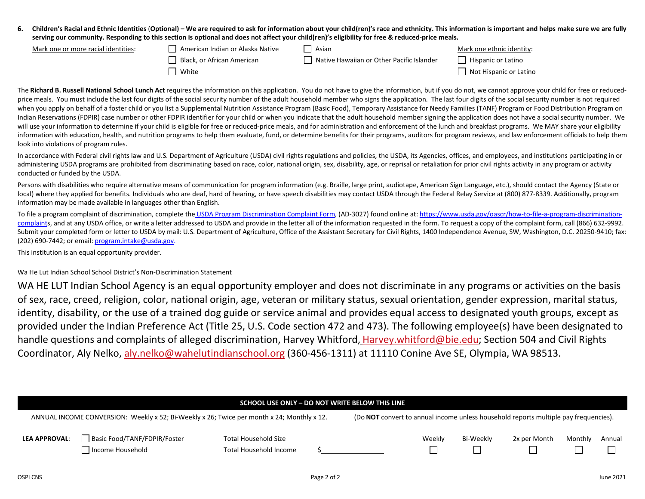6. Children's Racial and Ethnic Identities (Optional) – We are required to ask for information about your child(ren)'s race and ethnicity. This information is important and helps make sure we are fully serving our community. Responding to this section is optional and does not affect your child(ren)'s eligibility for free & reduced-price meals.

| Mark one or more racial identities: | American Indian or Alaska Native | Asian                                     | Mark one ethnic identity: |
|-------------------------------------|----------------------------------|-------------------------------------------|---------------------------|
|                                     | Black, or African American       | Native Hawaiian or Other Pacific Islander | Hispanic or Latino        |
|                                     | White                            |                                           | Not Hispanic or Latino    |

The Richard B. Russell National School Lunch Act requires the information on this application. You do not have to give the information, but if you do not, we cannot approve your child for free or reducedprice meals. You must include the last four digits of the social security number of the adult household member who signs the application. The last four digits of the social security number is not required when you apply on behalf of a foster child or you list a Supplemental Nutrition Assistance Program (Basic Food), Temporary Assistance for Needy Families (TANF) Program or Food Distribution Program on Indian Reservations (FDPIR) case number or other FDPIR identifier for your child or when you indicate that the adult household member signing the application does not have a social security number. We will use your information to determine if your child is eligible for free or reduced-price meals, and for administration and enforcement of the lunch and breakfast programs. We MAY share your eligibility information with education, health, and nutrition programs to help them evaluate, fund, or determine benefits for their programs, auditors for program reviews, and law enforcement officials to help them look into violations of program rules.

In accordance with Federal civil rights law and U.S. Department of Agriculture (USDA) civil rights regulations and policies, the USDA, its Agencies, offices, and employees, and institutions participating in or administering USDA programs are prohibited from discriminating based on race, color, national origin, sex, disability, age, or reprisal or retaliation for prior civil rights activity in any program or activity conducted or funded by the USDA.

Persons with disabilities who require alternative means of communication for program information (e.g. Braille, large print, audiotape, American Sign Language, etc.), should contact the Agency (State or local) where they applied for benefits. Individuals who are deaf, hard of hearing, or have speech disabilities may contact USDA through the Federal Relay Service at (800) 877-8339. Additionally, program information may be made available in languages other than English.

To file a program complaint of discrimination, complete the USDA Program Discrimination Complaint Form, (AD-3027) found online at: https://www.usda.gov/oascr/how-to-file-a-program-discriminationcomplaints, and at any USDA office, or write a letter addressed to USDA and provide in the letter all of the information requested in the form. To request a copy of the complaint form, call (866) 632-9992. Submit your completed form or letter to USDA by mail: U.S. Department of Agriculture, Office of the Assistant Secretary for Civil Rights, 1400 Independence Avenue, SW, Washington, D.C. 20250-9410; fax: (202) 690-7442; or email: program.intake@usda.gov.

This institution is an equal opportunity provider.

Wa He Lut Indian School School District's Non-Discrimination Statement

WA HE LUT Indian School Agency is an equal opportunity employer and does not discriminate in any programs or activities on the basis of sex, race, creed, religion, color, national origin, age, veteran or military status, sexual orientation, gender expression, marital status, identity, disability, or the use of a trained dog guide or service animal and provides equal access to designated youth groups, except as provided under the Indian Preference Act (Title 25, U.S. Code section 472 and 473). The following employee(s) have been designated to handle questions and complaints of alleged discrimination, Harvey Whitford, Harvey.whitford@bie.edu; Section 504 and Civil Rights Coordinator, Aly Nelko, aly.nelko@wahelutindianschool.org (360-456-1311) at 11110 Conine Ave SE, Olympia, WA 98513.

| SCHOOL USE ONLY - DO NOT WRITE BELOW THIS LINE |                                                                                            |                                                                                      |             |  |        |           |              |         |           |  |
|------------------------------------------------|--------------------------------------------------------------------------------------------|--------------------------------------------------------------------------------------|-------------|--|--------|-----------|--------------|---------|-----------|--|
|                                                | ANNUAL INCOME CONVERSION: Weekly x 52; Bi-Weekly x 26; Twice per month x 24; Monthly x 12. | (Do NOT convert to annual income unless household reports multiple pay frequencies). |             |  |        |           |              |         |           |  |
| <b>LEA APPROVAL:</b>                           | Basic Food/TANF/FDPIR/Foster<br>Income Household                                           | <b>Total Household Size</b><br>Total Household Income                                |             |  | Weekly | Bi-Weekly | 2x per Month | Monthly | Annual    |  |
| OSPI CNS                                       |                                                                                            |                                                                                      | Page 2 of 2 |  |        |           |              |         | June 2021 |  |